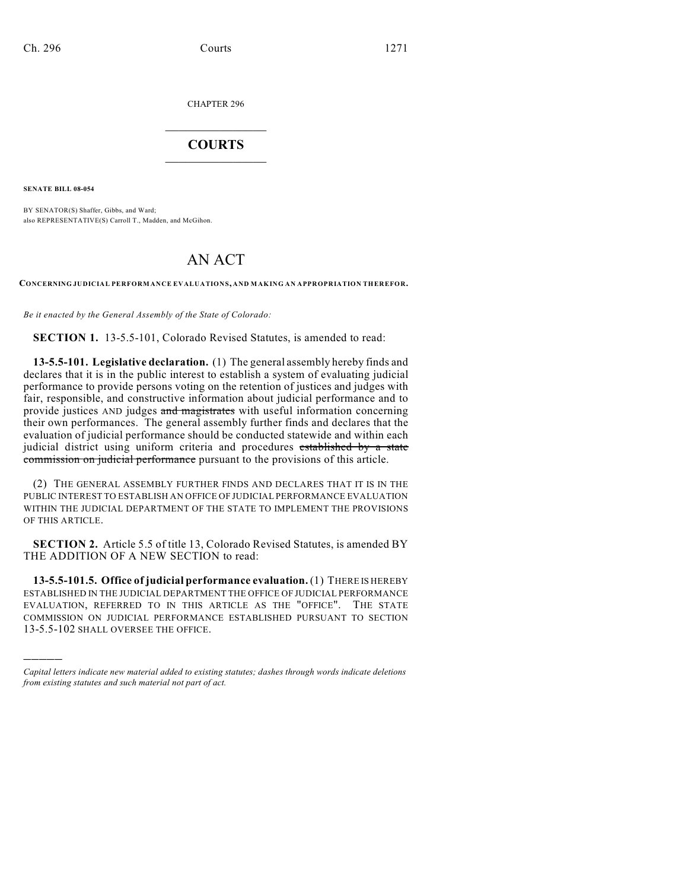CHAPTER 296

## $\mathcal{L}_\text{max}$  . The set of the set of the set of the set of the set of the set of the set of the set of the set of the set of the set of the set of the set of the set of the set of the set of the set of the set of the set **COURTS**  $\_$   $\_$   $\_$   $\_$   $\_$   $\_$   $\_$   $\_$

**SENATE BILL 08-054**

)))))

BY SENATOR(S) Shaffer, Gibbs, and Ward; also REPRESENTATIVE(S) Carroll T., Madden, and McGihon.

# AN ACT

**CONCERNING JUDICIAL PERFORMANCE EVALUATIONS, AND MAKING AN APPROPRIATION THEREFOR.**

*Be it enacted by the General Assembly of the State of Colorado:*

**SECTION 1.** 13-5.5-101, Colorado Revised Statutes, is amended to read:

**13-5.5-101. Legislative declaration.** (1) The general assembly hereby finds and declares that it is in the public interest to establish a system of evaluating judicial performance to provide persons voting on the retention of justices and judges with fair, responsible, and constructive information about judicial performance and to provide justices AND judges and magistrates with useful information concerning their own performances. The general assembly further finds and declares that the evaluation of judicial performance should be conducted statewide and within each judicial district using uniform criteria and procedures established by a state commission on judicial performance pursuant to the provisions of this article.

(2) THE GENERAL ASSEMBLY FURTHER FINDS AND DECLARES THAT IT IS IN THE PUBLIC INTEREST TO ESTABLISH AN OFFICE OF JUDICIAL PERFORMANCE EVALUATION WITHIN THE JUDICIAL DEPARTMENT OF THE STATE TO IMPLEMENT THE PROVISIONS OF THIS ARTICLE.

**SECTION 2.** Article 5.5 of title 13, Colorado Revised Statutes, is amended BY THE ADDITION OF A NEW SECTION to read:

**13-5.5-101.5. Office of judicial performance evaluation.** (1) THERE IS HEREBY ESTABLISHED IN THE JUDICIAL DEPARTMENT THE OFFICE OF JUDICIAL PERFORMANCE EVALUATION, REFERRED TO IN THIS ARTICLE AS THE "OFFICE". THE STATE COMMISSION ON JUDICIAL PERFORMANCE ESTABLISHED PURSUANT TO SECTION 13-5.5-102 SHALL OVERSEE THE OFFICE.

*Capital letters indicate new material added to existing statutes; dashes through words indicate deletions from existing statutes and such material not part of act.*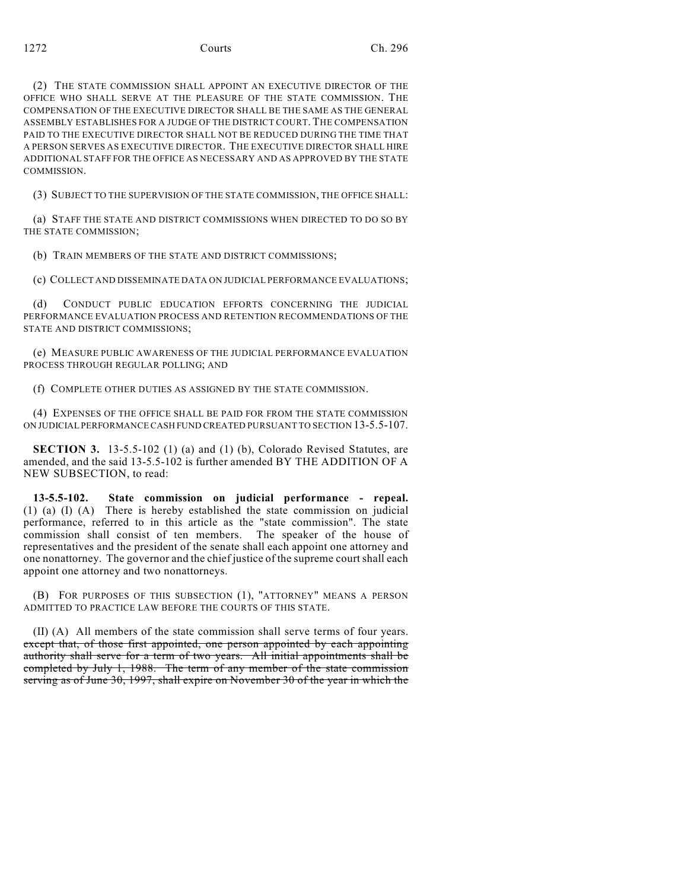(2) THE STATE COMMISSION SHALL APPOINT AN EXECUTIVE DIRECTOR OF THE OFFICE WHO SHALL SERVE AT THE PLEASURE OF THE STATE COMMISSION. THE COMPENSATION OF THE EXECUTIVE DIRECTOR SHALL BE THE SAME AS THE GENERAL ASSEMBLY ESTABLISHES FOR A JUDGE OF THE DISTRICT COURT. THE COMPENSATION PAID TO THE EXECUTIVE DIRECTOR SHALL NOT BE REDUCED DURING THE TIME THAT A PERSON SERVES AS EXECUTIVE DIRECTOR. THE EXECUTIVE DIRECTOR SHALL HIRE ADDITIONAL STAFF FOR THE OFFICE AS NECESSARY AND AS APPROVED BY THE STATE COMMISSION.

(3) SUBJECT TO THE SUPERVISION OF THE STATE COMMISSION, THE OFFICE SHALL:

(a) STAFF THE STATE AND DISTRICT COMMISSIONS WHEN DIRECTED TO DO SO BY THE STATE COMMISSION;

(b) TRAIN MEMBERS OF THE STATE AND DISTRICT COMMISSIONS;

(c) COLLECT AND DISSEMINATE DATA ON JUDICIAL PERFORMANCE EVALUATIONS;

(d) CONDUCT PUBLIC EDUCATION EFFORTS CONCERNING THE JUDICIAL PERFORMANCE EVALUATION PROCESS AND RETENTION RECOMMENDATIONS OF THE STATE AND DISTRICT COMMISSIONS;

(e) MEASURE PUBLIC AWARENESS OF THE JUDICIAL PERFORMANCE EVALUATION PROCESS THROUGH REGULAR POLLING; AND

(f) COMPLETE OTHER DUTIES AS ASSIGNED BY THE STATE COMMISSION.

(4) EXPENSES OF THE OFFICE SHALL BE PAID FOR FROM THE STATE COMMISSION ON JUDICIAL PERFORMANCE CASH FUND CREATED PURSUANT TO SECTION 13-5.5-107.

**SECTION 3.** 13-5.5-102 (1) (a) and (1) (b), Colorado Revised Statutes, are amended, and the said 13-5.5-102 is further amended BY THE ADDITION OF A NEW SUBSECTION, to read:

**13-5.5-102. State commission on judicial performance - repeal.** (1) (a) (I) (A) There is hereby established the state commission on judicial performance, referred to in this article as the "state commission". The state commission shall consist of ten members. The speaker of the house of representatives and the president of the senate shall each appoint one attorney and one nonattorney. The governor and the chief justice of the supreme court shall each appoint one attorney and two nonattorneys.

(B) FOR PURPOSES OF THIS SUBSECTION (1), "ATTORNEY" MEANS A PERSON ADMITTED TO PRACTICE LAW BEFORE THE COURTS OF THIS STATE.

(II) (A) All members of the state commission shall serve terms of four years. except that, of those first appointed, one person appointed by each appointing authority shall serve for a term of two years. All initial appointments shall be completed by July 1, 1988. The term of any member of the state commission serving as of June 30, 1997, shall expire on November 30 of the year in which the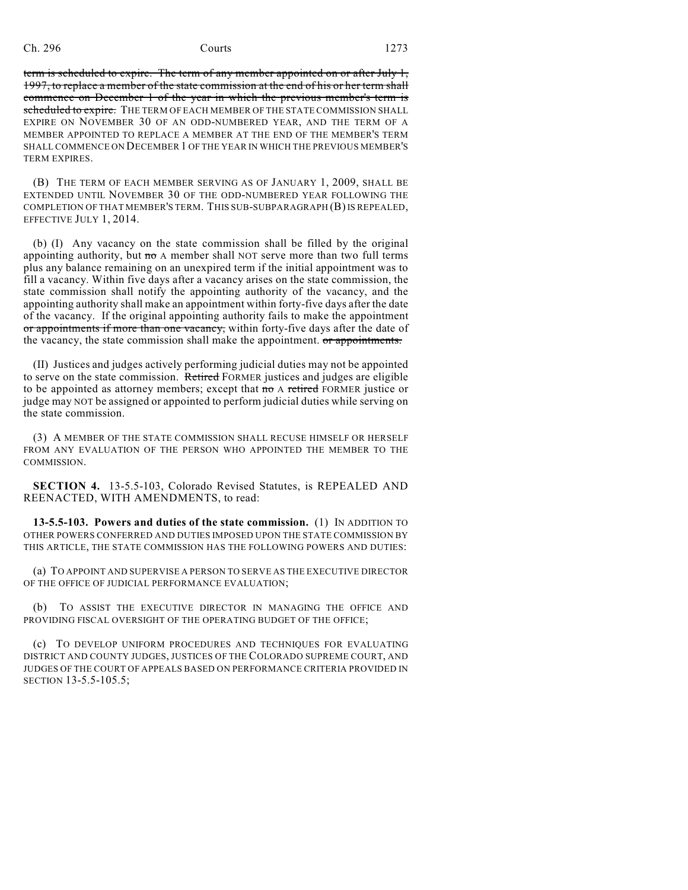term is scheduled to expire. The term of any member appointed on or after July 1, 1997, to replace a member of the state commission at the end of his or her term shall commence on December 1 of the year in which the previous member's term is scheduled to expire. THE TERM OF EACH MEMBER OF THE STATE COMMISSION SHALL EXPIRE ON NOVEMBER 30 OF AN ODD-NUMBERED YEAR, AND THE TERM OF A MEMBER APPOINTED TO REPLACE A MEMBER AT THE END OF THE MEMBER'S TERM SHALL COMMENCE ON DECEMBER 1 OF THE YEAR IN WHICH THE PREVIOUS MEMBER'S TERM EXPIRES.

(B) THE TERM OF EACH MEMBER SERVING AS OF JANUARY 1, 2009, SHALL BE EXTENDED UNTIL NOVEMBER 30 OF THE ODD-NUMBERED YEAR FOLLOWING THE COMPLETION OF THAT MEMBER'S TERM. THIS SUB-SUBPARAGRAPH (B) IS REPEALED, EFFECTIVE JULY 1, 2014.

(b) (I) Any vacancy on the state commission shall be filled by the original appointing authority, but  $m \sigma$  A member shall NOT serve more than two full terms plus any balance remaining on an unexpired term if the initial appointment was to fill a vacancy. Within five days after a vacancy arises on the state commission, the state commission shall notify the appointing authority of the vacancy, and the appointing authority shall make an appointment within forty-five days after the date of the vacancy. If the original appointing authority fails to make the appointment or appointments if more than one vacancy, within forty-five days after the date of the vacancy, the state commission shall make the appointment. or appointments.

(II) Justices and judges actively performing judicial duties may not be appointed to serve on the state commission. Retired FORMER justices and judges are eligible to be appointed as attorney members; except that no A retired FORMER justice or judge may NOT be assigned or appointed to perform judicial duties while serving on the state commission.

(3) A MEMBER OF THE STATE COMMISSION SHALL RECUSE HIMSELF OR HERSELF FROM ANY EVALUATION OF THE PERSON WHO APPOINTED THE MEMBER TO THE COMMISSION.

**SECTION 4.** 13-5.5-103, Colorado Revised Statutes, is REPEALED AND REENACTED, WITH AMENDMENTS, to read:

**13-5.5-103. Powers and duties of the state commission.** (1) IN ADDITION TO OTHER POWERS CONFERRED AND DUTIES IMPOSED UPON THE STATE COMMISSION BY THIS ARTICLE, THE STATE COMMISSION HAS THE FOLLOWING POWERS AND DUTIES:

(a) TO APPOINT AND SUPERVISE A PERSON TO SERVE AS THE EXECUTIVE DIRECTOR OF THE OFFICE OF JUDICIAL PERFORMANCE EVALUATION;

(b) TO ASSIST THE EXECUTIVE DIRECTOR IN MANAGING THE OFFICE AND PROVIDING FISCAL OVERSIGHT OF THE OPERATING BUDGET OF THE OFFICE;

(c) TO DEVELOP UNIFORM PROCEDURES AND TECHNIQUES FOR EVALUATING DISTRICT AND COUNTY JUDGES, JUSTICES OF THE COLORADO SUPREME COURT, AND JUDGES OF THE COURT OF APPEALS BASED ON PERFORMANCE CRITERIA PROVIDED IN SECTION 13-5.5-105.5;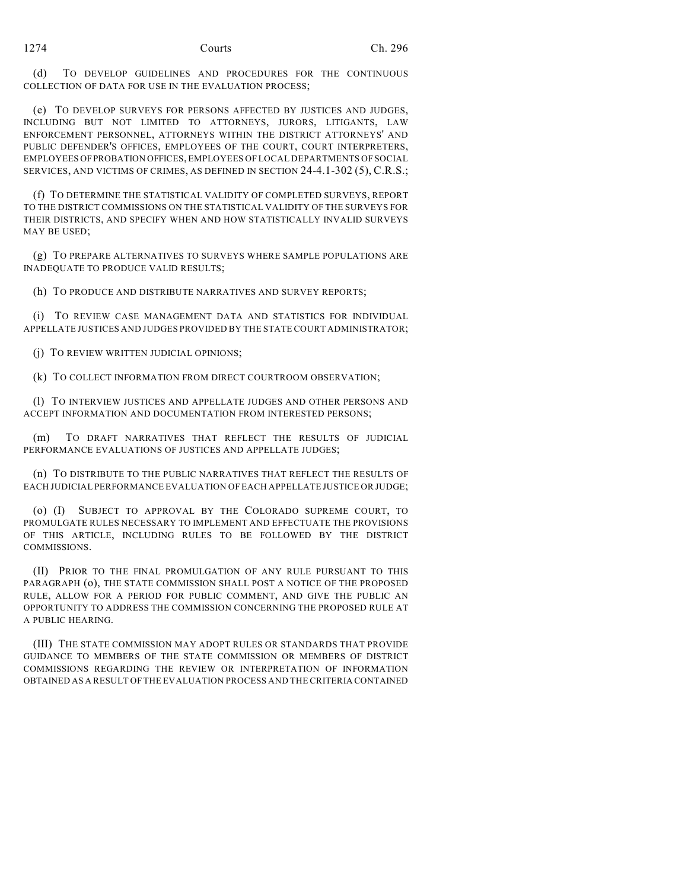(d) TO DEVELOP GUIDELINES AND PROCEDURES FOR THE CONTINUOUS COLLECTION OF DATA FOR USE IN THE EVALUATION PROCESS;

(e) TO DEVELOP SURVEYS FOR PERSONS AFFECTED BY JUSTICES AND JUDGES, INCLUDING BUT NOT LIMITED TO ATTORNEYS, JURORS, LITIGANTS, LAW ENFORCEMENT PERSONNEL, ATTORNEYS WITHIN THE DISTRICT ATTORNEYS' AND PUBLIC DEFENDER'S OFFICES, EMPLOYEES OF THE COURT, COURT INTERPRETERS, EMPLOYEES OF PROBATION OFFICES, EMPLOYEES OF LOCAL DEPARTMENTS OF SOCIAL SERVICES, AND VICTIMS OF CRIMES, AS DEFINED IN SECTION 24-4.1-302 (5), C.R.S.;

(f) TO DETERMINE THE STATISTICAL VALIDITY OF COMPLETED SURVEYS, REPORT TO THE DISTRICT COMMISSIONS ON THE STATISTICAL VALIDITY OF THE SURVEYS FOR THEIR DISTRICTS, AND SPECIFY WHEN AND HOW STATISTICALLY INVALID SURVEYS MAY BE USED;

(g) TO PREPARE ALTERNATIVES TO SURVEYS WHERE SAMPLE POPULATIONS ARE INADEQUATE TO PRODUCE VALID RESULTS;

(h) TO PRODUCE AND DISTRIBUTE NARRATIVES AND SURVEY REPORTS;

(i) TO REVIEW CASE MANAGEMENT DATA AND STATISTICS FOR INDIVIDUAL APPELLATE JUSTICES AND JUDGES PROVIDED BY THE STATE COURT ADMINISTRATOR;

(j) TO REVIEW WRITTEN JUDICIAL OPINIONS;

(k) TO COLLECT INFORMATION FROM DIRECT COURTROOM OBSERVATION;

(l) TO INTERVIEW JUSTICES AND APPELLATE JUDGES AND OTHER PERSONS AND ACCEPT INFORMATION AND DOCUMENTATION FROM INTERESTED PERSONS;

(m) TO DRAFT NARRATIVES THAT REFLECT THE RESULTS OF JUDICIAL PERFORMANCE EVALUATIONS OF JUSTICES AND APPELLATE JUDGES;

(n) TO DISTRIBUTE TO THE PUBLIC NARRATIVES THAT REFLECT THE RESULTS OF EACH JUDICIAL PERFORMANCE EVALUATION OF EACH APPELLATE JUSTICE OR JUDGE;

(o) (I) SUBJECT TO APPROVAL BY THE COLORADO SUPREME COURT, TO PROMULGATE RULES NECESSARY TO IMPLEMENT AND EFFECTUATE THE PROVISIONS OF THIS ARTICLE, INCLUDING RULES TO BE FOLLOWED BY THE DISTRICT COMMISSIONS.

(II) PRIOR TO THE FINAL PROMULGATION OF ANY RULE PURSUANT TO THIS PARAGRAPH (o), THE STATE COMMISSION SHALL POST A NOTICE OF THE PROPOSED RULE, ALLOW FOR A PERIOD FOR PUBLIC COMMENT, AND GIVE THE PUBLIC AN OPPORTUNITY TO ADDRESS THE COMMISSION CONCERNING THE PROPOSED RULE AT A PUBLIC HEARING.

(III) THE STATE COMMISSION MAY ADOPT RULES OR STANDARDS THAT PROVIDE GUIDANCE TO MEMBERS OF THE STATE COMMISSION OR MEMBERS OF DISTRICT COMMISSIONS REGARDING THE REVIEW OR INTERPRETATION OF INFORMATION OBTAINED AS A RESULT OF THE EVALUATION PROCESS AND THE CRITERIA CONTAINED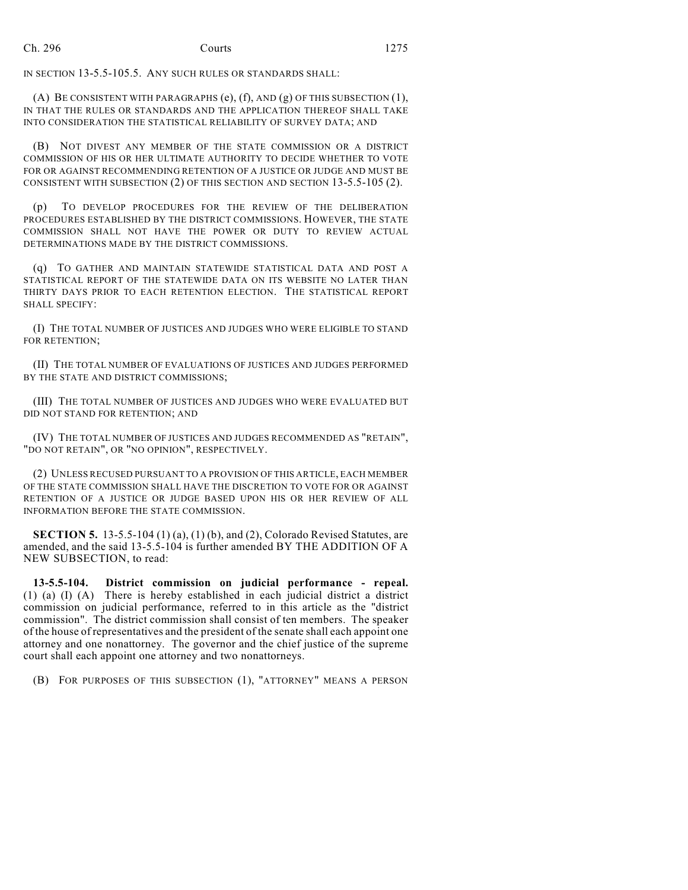IN SECTION 13-5.5-105.5. ANY SUCH RULES OR STANDARDS SHALL:

(A) BE CONSISTENT WITH PARAGRAPHS (e), (f), AND (g) OF THIS SUBSECTION (1), IN THAT THE RULES OR STANDARDS AND THE APPLICATION THEREOF SHALL TAKE INTO CONSIDERATION THE STATISTICAL RELIABILITY OF SURVEY DATA; AND

(B) NOT DIVEST ANY MEMBER OF THE STATE COMMISSION OR A DISTRICT COMMISSION OF HIS OR HER ULTIMATE AUTHORITY TO DECIDE WHETHER TO VOTE FOR OR AGAINST RECOMMENDING RETENTION OF A JUSTICE OR JUDGE AND MUST BE CONSISTENT WITH SUBSECTION (2) OF THIS SECTION AND SECTION 13-5.5-105 (2).

(p) TO DEVELOP PROCEDURES FOR THE REVIEW OF THE DELIBERATION PROCEDURES ESTABLISHED BY THE DISTRICT COMMISSIONS. HOWEVER, THE STATE COMMISSION SHALL NOT HAVE THE POWER OR DUTY TO REVIEW ACTUAL DETERMINATIONS MADE BY THE DISTRICT COMMISSIONS.

(q) TO GATHER AND MAINTAIN STATEWIDE STATISTICAL DATA AND POST A STATISTICAL REPORT OF THE STATEWIDE DATA ON ITS WEBSITE NO LATER THAN THIRTY DAYS PRIOR TO EACH RETENTION ELECTION. THE STATISTICAL REPORT SHALL SPECIFY:

(I) THE TOTAL NUMBER OF JUSTICES AND JUDGES WHO WERE ELIGIBLE TO STAND FOR RETENTION;

(II) THE TOTAL NUMBER OF EVALUATIONS OF JUSTICES AND JUDGES PERFORMED BY THE STATE AND DISTRICT COMMISSIONS;

(III) THE TOTAL NUMBER OF JUSTICES AND JUDGES WHO WERE EVALUATED BUT DID NOT STAND FOR RETENTION; AND

(IV) THE TOTAL NUMBER OF JUSTICES AND JUDGES RECOMMENDED AS "RETAIN", "DO NOT RETAIN", OR "NO OPINION", RESPECTIVELY.

(2) UNLESS RECUSED PURSUANT TO A PROVISION OF THIS ARTICLE, EACH MEMBER OF THE STATE COMMISSION SHALL HAVE THE DISCRETION TO VOTE FOR OR AGAINST RETENTION OF A JUSTICE OR JUDGE BASED UPON HIS OR HER REVIEW OF ALL INFORMATION BEFORE THE STATE COMMISSION.

**SECTION 5.** 13-5.5-104 (1) (a), (1) (b), and (2), Colorado Revised Statutes, are amended, and the said 13-5.5-104 is further amended BY THE ADDITION OF A NEW SUBSECTION, to read:

**13-5.5-104. District commission on judicial performance - repeal.** (1) (a) (I) (A) There is hereby established in each judicial district a district commission on judicial performance, referred to in this article as the "district commission". The district commission shall consist of ten members. The speaker of the house of representatives and the president of the senate shall each appoint one attorney and one nonattorney. The governor and the chief justice of the supreme court shall each appoint one attorney and two nonattorneys.

(B) FOR PURPOSES OF THIS SUBSECTION (1), "ATTORNEY" MEANS A PERSON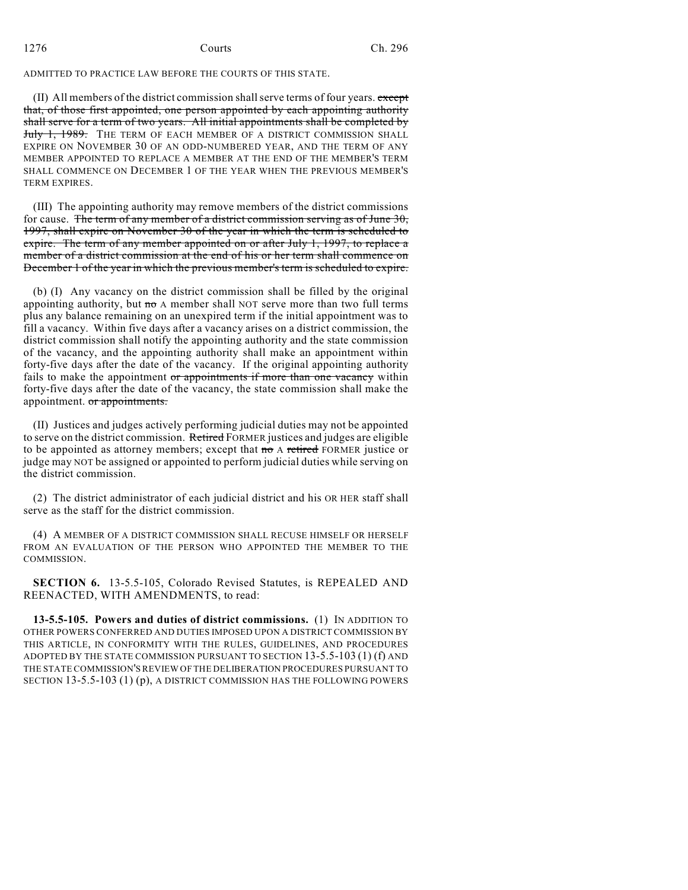ADMITTED TO PRACTICE LAW BEFORE THE COURTS OF THIS STATE.

 $(II)$  All members of the district commission shall serve terms of four years. except that, of those first appointed, one person appointed by each appointing authority shall serve for a term of two years. All initial appointments shall be completed by July 1, 1989. The TERM OF EACH MEMBER OF A DISTRICT COMMISSION SHALL EXPIRE ON NOVEMBER 30 OF AN ODD-NUMBERED YEAR, AND THE TERM OF ANY MEMBER APPOINTED TO REPLACE A MEMBER AT THE END OF THE MEMBER'S TERM SHALL COMMENCE ON DECEMBER 1 OF THE YEAR WHEN THE PREVIOUS MEMBER'S TERM EXPIRES.

(III) The appointing authority may remove members of the district commissions for cause. The term of any member of a district commission serving as of June  $30$ , 1997, shall expire on November 30 of the year in which the term is scheduled to expire. The term of any member appointed on or after July 1, 1997, to replace a member of a district commission at the end of his or her term shall commence on December 1 of the year in which the previous member's term is scheduled to expire.

(b) (I) Any vacancy on the district commission shall be filled by the original appointing authority, but  $m\sigma A$  member shall NOT serve more than two full terms plus any balance remaining on an unexpired term if the initial appointment was to fill a vacancy. Within five days after a vacancy arises on a district commission, the district commission shall notify the appointing authority and the state commission of the vacancy, and the appointing authority shall make an appointment within forty-five days after the date of the vacancy. If the original appointing authority fails to make the appointment or appointments if more than one vacancy within forty-five days after the date of the vacancy, the state commission shall make the appointment. or appointments.

(II) Justices and judges actively performing judicial duties may not be appointed to serve on the district commission. Retired FORMER justices and judges are eligible to be appointed as attorney members; except that no A retired FORMER justice or judge may NOT be assigned or appointed to perform judicial duties while serving on the district commission.

(2) The district administrator of each judicial district and his OR HER staff shall serve as the staff for the district commission.

(4) A MEMBER OF A DISTRICT COMMISSION SHALL RECUSE HIMSELF OR HERSELF FROM AN EVALUATION OF THE PERSON WHO APPOINTED THE MEMBER TO THE COMMISSION.

**SECTION 6.** 13-5.5-105, Colorado Revised Statutes, is REPEALED AND REENACTED, WITH AMENDMENTS, to read:

**13-5.5-105. Powers and duties of district commissions.** (1) IN ADDITION TO OTHER POWERS CONFERRED AND DUTIES IMPOSED UPON A DISTRICT COMMISSION BY THIS ARTICLE, IN CONFORMITY WITH THE RULES, GUIDELINES, AND PROCEDURES ADOPTED BY THE STATE COMMISSION PURSUANT TO SECTION 13-5.5-103 (1) (f) AND THE STATE COMMISSION'S REVIEW OF THE DELIBERATION PROCEDURES PURSUANT TO SECTION 13-5.5-103 (1) (p), A DISTRICT COMMISSION HAS THE FOLLOWING POWERS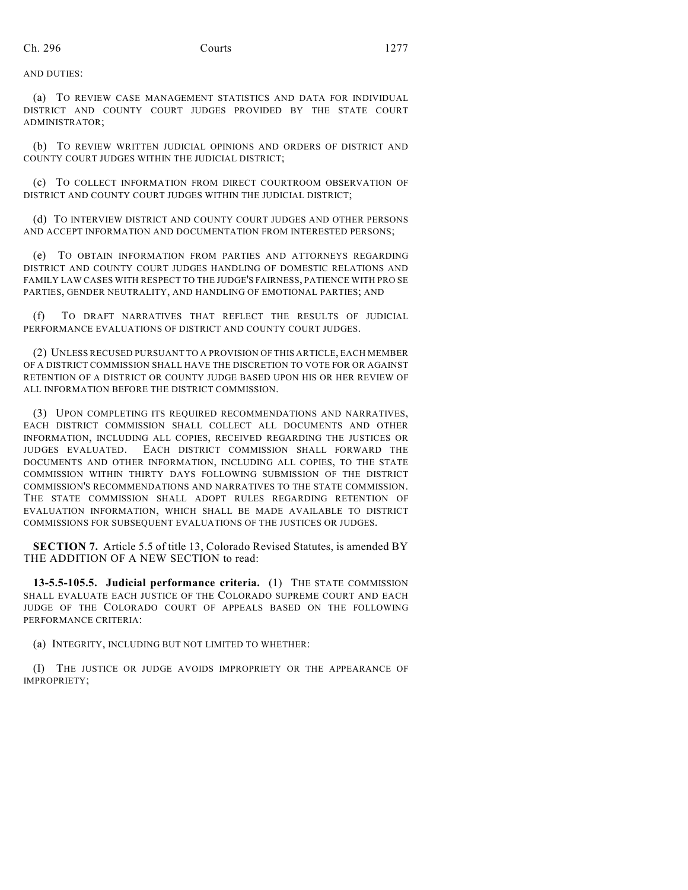AND DUTIES:

(a) TO REVIEW CASE MANAGEMENT STATISTICS AND DATA FOR INDIVIDUAL DISTRICT AND COUNTY COURT JUDGES PROVIDED BY THE STATE COURT ADMINISTRATOR;

(b) TO REVIEW WRITTEN JUDICIAL OPINIONS AND ORDERS OF DISTRICT AND COUNTY COURT JUDGES WITHIN THE JUDICIAL DISTRICT;

(c) TO COLLECT INFORMATION FROM DIRECT COURTROOM OBSERVATION OF DISTRICT AND COUNTY COURT JUDGES WITHIN THE JUDICIAL DISTRICT;

(d) TO INTERVIEW DISTRICT AND COUNTY COURT JUDGES AND OTHER PERSONS AND ACCEPT INFORMATION AND DOCUMENTATION FROM INTERESTED PERSONS;

(e) TO OBTAIN INFORMATION FROM PARTIES AND ATTORNEYS REGARDING DISTRICT AND COUNTY COURT JUDGES HANDLING OF DOMESTIC RELATIONS AND FAMILY LAW CASES WITH RESPECT TO THE JUDGE'S FAIRNESS, PATIENCE WITH PRO SE PARTIES, GENDER NEUTRALITY, AND HANDLING OF EMOTIONAL PARTIES; AND

(f) TO DRAFT NARRATIVES THAT REFLECT THE RESULTS OF JUDICIAL PERFORMANCE EVALUATIONS OF DISTRICT AND COUNTY COURT JUDGES.

(2) UNLESS RECUSED PURSUANT TO A PROVISION OF THIS ARTICLE, EACH MEMBER OF A DISTRICT COMMISSION SHALL HAVE THE DISCRETION TO VOTE FOR OR AGAINST RETENTION OF A DISTRICT OR COUNTY JUDGE BASED UPON HIS OR HER REVIEW OF ALL INFORMATION BEFORE THE DISTRICT COMMISSION.

(3) UPON COMPLETING ITS REQUIRED RECOMMENDATIONS AND NARRATIVES, EACH DISTRICT COMMISSION SHALL COLLECT ALL DOCUMENTS AND OTHER INFORMATION, INCLUDING ALL COPIES, RECEIVED REGARDING THE JUSTICES OR JUDGES EVALUATED. EACH DISTRICT COMMISSION SHALL FORWARD THE DOCUMENTS AND OTHER INFORMATION, INCLUDING ALL COPIES, TO THE STATE COMMISSION WITHIN THIRTY DAYS FOLLOWING SUBMISSION OF THE DISTRICT COMMISSION'S RECOMMENDATIONS AND NARRATIVES TO THE STATE COMMISSION. THE STATE COMMISSION SHALL ADOPT RULES REGARDING RETENTION OF EVALUATION INFORMATION, WHICH SHALL BE MADE AVAILABLE TO DISTRICT COMMISSIONS FOR SUBSEQUENT EVALUATIONS OF THE JUSTICES OR JUDGES.

**SECTION 7.** Article 5.5 of title 13, Colorado Revised Statutes, is amended BY THE ADDITION OF A NEW SECTION to read:

**13-5.5-105.5. Judicial performance criteria.** (1) THE STATE COMMISSION SHALL EVALUATE EACH JUSTICE OF THE COLORADO SUPREME COURT AND EACH JUDGE OF THE COLORADO COURT OF APPEALS BASED ON THE FOLLOWING PERFORMANCE CRITERIA:

(a) INTEGRITY, INCLUDING BUT NOT LIMITED TO WHETHER:

(I) THE JUSTICE OR JUDGE AVOIDS IMPROPRIETY OR THE APPEARANCE OF IMPROPRIETY;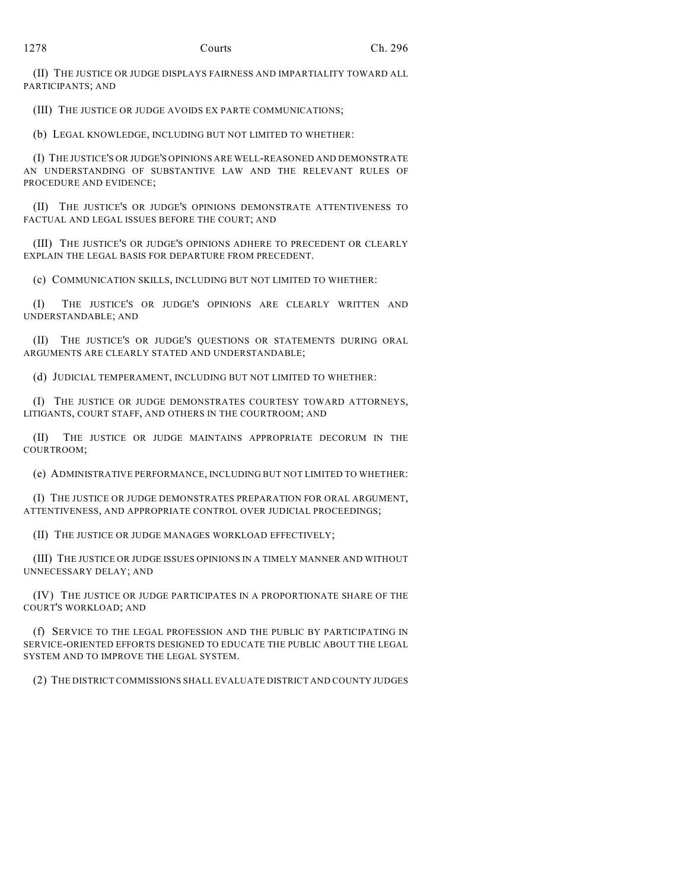(II) THE JUSTICE OR JUDGE DISPLAYS FAIRNESS AND IMPARTIALITY TOWARD ALL PARTICIPANTS; AND

(III) THE JUSTICE OR JUDGE AVOIDS EX PARTE COMMUNICATIONS;

(b) LEGAL KNOWLEDGE, INCLUDING BUT NOT LIMITED TO WHETHER:

(I) THE JUSTICE'S OR JUDGE'S OPINIONS ARE WELL-REASONED AND DEMONSTRATE AN UNDERSTANDING OF SUBSTANTIVE LAW AND THE RELEVANT RULES OF PROCEDURE AND EVIDENCE;

(II) THE JUSTICE'S OR JUDGE'S OPINIONS DEMONSTRATE ATTENTIVENESS TO FACTUAL AND LEGAL ISSUES BEFORE THE COURT; AND

(III) THE JUSTICE'S OR JUDGE'S OPINIONS ADHERE TO PRECEDENT OR CLEARLY EXPLAIN THE LEGAL BASIS FOR DEPARTURE FROM PRECEDENT.

(c) COMMUNICATION SKILLS, INCLUDING BUT NOT LIMITED TO WHETHER:

(I) THE JUSTICE'S OR JUDGE'S OPINIONS ARE CLEARLY WRITTEN AND UNDERSTANDABLE; AND

(II) THE JUSTICE'S OR JUDGE'S QUESTIONS OR STATEMENTS DURING ORAL ARGUMENTS ARE CLEARLY STATED AND UNDERSTANDABLE;

(d) JUDICIAL TEMPERAMENT, INCLUDING BUT NOT LIMITED TO WHETHER:

(I) THE JUSTICE OR JUDGE DEMONSTRATES COURTESY TOWARD ATTORNEYS, LITIGANTS, COURT STAFF, AND OTHERS IN THE COURTROOM; AND

(II) THE JUSTICE OR JUDGE MAINTAINS APPROPRIATE DECORUM IN THE COURTROOM;

(e) ADMINISTRATIVE PERFORMANCE, INCLUDING BUT NOT LIMITED TO WHETHER:

(I) THE JUSTICE OR JUDGE DEMONSTRATES PREPARATION FOR ORAL ARGUMENT, ATTENTIVENESS, AND APPROPRIATE CONTROL OVER JUDICIAL PROCEEDINGS;

(II) THE JUSTICE OR JUDGE MANAGES WORKLOAD EFFECTIVELY;

(III) THE JUSTICE OR JUDGE ISSUES OPINIONS IN A TIMELY MANNER AND WITHOUT UNNECESSARY DELAY; AND

(IV) THE JUSTICE OR JUDGE PARTICIPATES IN A PROPORTIONATE SHARE OF THE COURT'S WORKLOAD; AND

(f) SERVICE TO THE LEGAL PROFESSION AND THE PUBLIC BY PARTICIPATING IN SERVICE-ORIENTED EFFORTS DESIGNED TO EDUCATE THE PUBLIC ABOUT THE LEGAL SYSTEM AND TO IMPROVE THE LEGAL SYSTEM.

(2) THE DISTRICT COMMISSIONS SHALL EVALUATE DISTRICT AND COUNTY JUDGES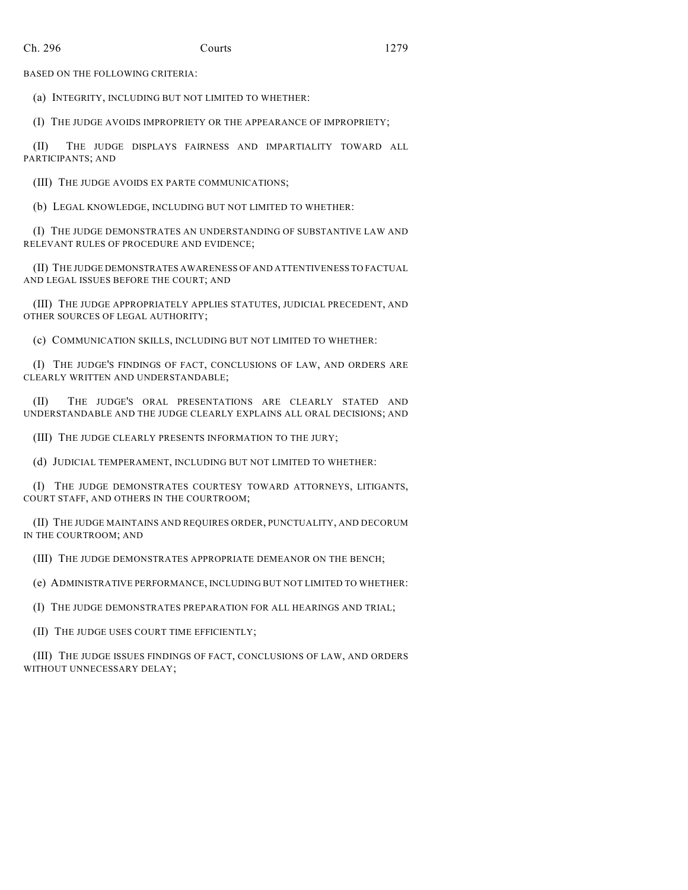BASED ON THE FOLLOWING CRITERIA:

(a) INTEGRITY, INCLUDING BUT NOT LIMITED TO WHETHER:

(I) THE JUDGE AVOIDS IMPROPRIETY OR THE APPEARANCE OF IMPROPRIETY;

(II) THE JUDGE DISPLAYS FAIRNESS AND IMPARTIALITY TOWARD ALL PARTICIPANTS; AND

(III) THE JUDGE AVOIDS EX PARTE COMMUNICATIONS;

(b) LEGAL KNOWLEDGE, INCLUDING BUT NOT LIMITED TO WHETHER:

(I) THE JUDGE DEMONSTRATES AN UNDERSTANDING OF SUBSTANTIVE LAW AND RELEVANT RULES OF PROCEDURE AND EVIDENCE;

(II) THE JUDGE DEMONSTRATES AWARENESS OF AND ATTENTIVENESS TO FACTUAL AND LEGAL ISSUES BEFORE THE COURT; AND

(III) THE JUDGE APPROPRIATELY APPLIES STATUTES, JUDICIAL PRECEDENT, AND OTHER SOURCES OF LEGAL AUTHORITY;

(c) COMMUNICATION SKILLS, INCLUDING BUT NOT LIMITED TO WHETHER:

(I) THE JUDGE'S FINDINGS OF FACT, CONCLUSIONS OF LAW, AND ORDERS ARE CLEARLY WRITTEN AND UNDERSTANDABLE;

(II) THE JUDGE'S ORAL PRESENTATIONS ARE CLEARLY STATED AND UNDERSTANDABLE AND THE JUDGE CLEARLY EXPLAINS ALL ORAL DECISIONS; AND

(III) THE JUDGE CLEARLY PRESENTS INFORMATION TO THE JURY;

(d) JUDICIAL TEMPERAMENT, INCLUDING BUT NOT LIMITED TO WHETHER:

(I) THE JUDGE DEMONSTRATES COURTESY TOWARD ATTORNEYS, LITIGANTS, COURT STAFF, AND OTHERS IN THE COURTROOM;

(II) THE JUDGE MAINTAINS AND REQUIRES ORDER, PUNCTUALITY, AND DECORUM IN THE COURTROOM; AND

(III) THE JUDGE DEMONSTRATES APPROPRIATE DEMEANOR ON THE BENCH;

(e) ADMINISTRATIVE PERFORMANCE, INCLUDING BUT NOT LIMITED TO WHETHER:

(I) THE JUDGE DEMONSTRATES PREPARATION FOR ALL HEARINGS AND TRIAL;

(II) THE JUDGE USES COURT TIME EFFICIENTLY;

(III) THE JUDGE ISSUES FINDINGS OF FACT, CONCLUSIONS OF LAW, AND ORDERS WITHOUT UNNECESSARY DELAY;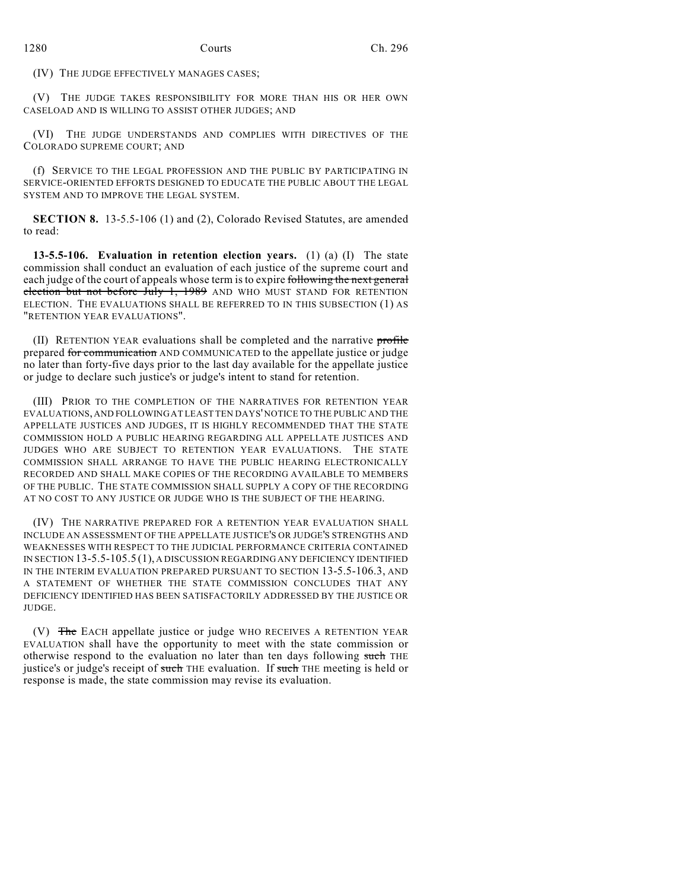(IV) THE JUDGE EFFECTIVELY MANAGES CASES;

(V) THE JUDGE TAKES RESPONSIBILITY FOR MORE THAN HIS OR HER OWN CASELOAD AND IS WILLING TO ASSIST OTHER JUDGES; AND

(VI) THE JUDGE UNDERSTANDS AND COMPLIES WITH DIRECTIVES OF THE COLORADO SUPREME COURT; AND

(f) SERVICE TO THE LEGAL PROFESSION AND THE PUBLIC BY PARTICIPATING IN SERVICE-ORIENTED EFFORTS DESIGNED TO EDUCATE THE PUBLIC ABOUT THE LEGAL SYSTEM AND TO IMPROVE THE LEGAL SYSTEM.

**SECTION 8.** 13-5.5-106 (1) and (2), Colorado Revised Statutes, are amended to read:

**13-5.5-106. Evaluation in retention election years.** (1) (a) (I) The state commission shall conduct an evaluation of each justice of the supreme court and each judge of the court of appeals whose term is to expire following the next general election but not before July 1, 1989 AND WHO MUST STAND FOR RETENTION ELECTION. THE EVALUATIONS SHALL BE REFERRED TO IN THIS SUBSECTION (1) AS "RETENTION YEAR EVALUATIONS".

(II) RETENTION YEAR evaluations shall be completed and the narrative profile prepared for communication AND COMMUNICATED to the appellate justice or judge no later than forty-five days prior to the last day available for the appellate justice or judge to declare such justice's or judge's intent to stand for retention.

(III) PRIOR TO THE COMPLETION OF THE NARRATIVES FOR RETENTION YEAR EVALUATIONS, AND FOLLOWING AT LEAST TEN DAYS' NOTICE TO THE PUBLIC AND THE APPELLATE JUSTICES AND JUDGES, IT IS HIGHLY RECOMMENDED THAT THE STATE COMMISSION HOLD A PUBLIC HEARING REGARDING ALL APPELLATE JUSTICES AND JUDGES WHO ARE SUBJECT TO RETENTION YEAR EVALUATIONS. THE STATE COMMISSION SHALL ARRANGE TO HAVE THE PUBLIC HEARING ELECTRONICALLY RECORDED AND SHALL MAKE COPIES OF THE RECORDING AVAILABLE TO MEMBERS OF THE PUBLIC. THE STATE COMMISSION SHALL SUPPLY A COPY OF THE RECORDING AT NO COST TO ANY JUSTICE OR JUDGE WHO IS THE SUBJECT OF THE HEARING.

(IV) THE NARRATIVE PREPARED FOR A RETENTION YEAR EVALUATION SHALL INCLUDE AN ASSESSMENT OF THE APPELLATE JUSTICE'S OR JUDGE'S STRENGTHS AND WEAKNESSES WITH RESPECT TO THE JUDICIAL PERFORMANCE CRITERIA CONTAINED IN SECTION 13-5.5-105.5 (1), A DISCUSSION REGARDING ANY DEFICIENCY IDENTIFIED IN THE INTERIM EVALUATION PREPARED PURSUANT TO SECTION 13-5.5-106.3, AND A STATEMENT OF WHETHER THE STATE COMMISSION CONCLUDES THAT ANY DEFICIENCY IDENTIFIED HAS BEEN SATISFACTORILY ADDRESSED BY THE JUSTICE OR JUDGE.

(V) The EACH appellate justice or judge WHO RECEIVES A RETENTION YEAR EVALUATION shall have the opportunity to meet with the state commission or otherwise respond to the evaluation no later than ten days following such THE justice's or judge's receipt of such THE evaluation. If such THE meeting is held or response is made, the state commission may revise its evaluation.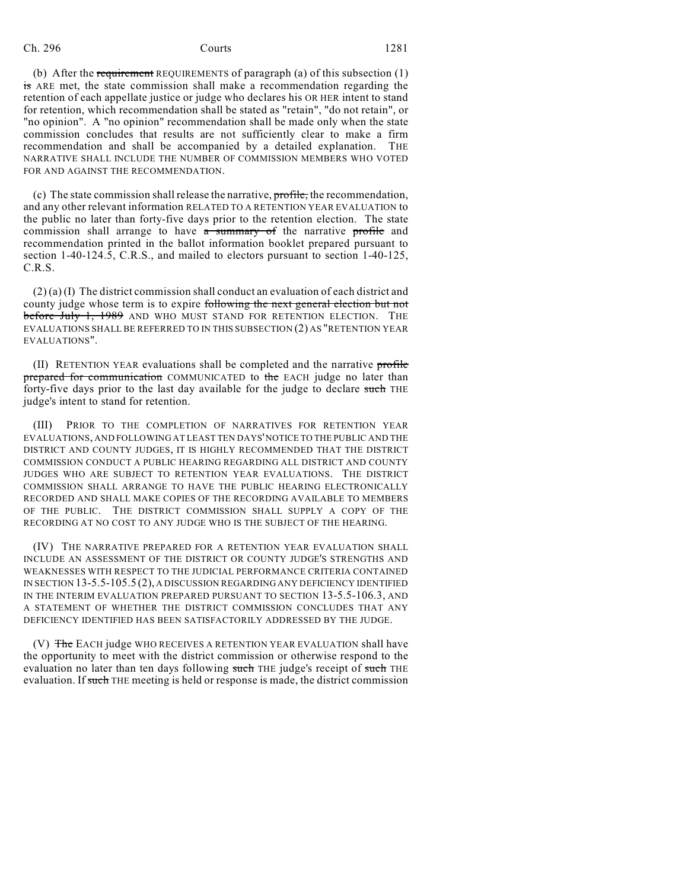Ch. 296 Courts 1281

(b) After the requirement REQUIREMENTS of paragraph (a) of this subsection (1) is ARE met, the state commission shall make a recommendation regarding the retention of each appellate justice or judge who declares his OR HER intent to stand for retention, which recommendation shall be stated as "retain", "do not retain", or "no opinion". A "no opinion" recommendation shall be made only when the state commission concludes that results are not sufficiently clear to make a firm recommendation and shall be accompanied by a detailed explanation. THE NARRATIVE SHALL INCLUDE THE NUMBER OF COMMISSION MEMBERS WHO VOTED FOR AND AGAINST THE RECOMMENDATION.

(c) The state commission shall release the narrative, profile, the recommendation, and any other relevant information RELATED TO A RETENTION YEAR EVALUATION to the public no later than forty-five days prior to the retention election. The state commission shall arrange to have  $\alpha$  summary of the narrative profile and recommendation printed in the ballot information booklet prepared pursuant to section 1-40-124.5, C.R.S., and mailed to electors pursuant to section 1-40-125, C.R.S.

 $(2)$  (a) (I) The district commission shall conduct an evaluation of each district and county judge whose term is to expire following the next general election but not before July 1, 1989 AND WHO MUST STAND FOR RETENTION ELECTION. THE EVALUATIONS SHALL BE REFERRED TO IN THIS SUBSECTION (2) AS "RETENTION YEAR EVALUATIONS".

(II) RETENTION YEAR evaluations shall be completed and the narrative profile prepared for communication COMMUNICATED to the EACH judge no later than forty-five days prior to the last day available for the judge to declare such THE judge's intent to stand for retention.

(III) PRIOR TO THE COMPLETION OF NARRATIVES FOR RETENTION YEAR EVALUATIONS, AND FOLLOWING AT LEAST TEN DAYS' NOTICE TO THE PUBLIC AND THE DISTRICT AND COUNTY JUDGES, IT IS HIGHLY RECOMMENDED THAT THE DISTRICT COMMISSION CONDUCT A PUBLIC HEARING REGARDING ALL DISTRICT AND COUNTY JUDGES WHO ARE SUBJECT TO RETENTION YEAR EVALUATIONS. THE DISTRICT COMMISSION SHALL ARRANGE TO HAVE THE PUBLIC HEARING ELECTRONICALLY RECORDED AND SHALL MAKE COPIES OF THE RECORDING AVAILABLE TO MEMBERS OF THE PUBLIC. THE DISTRICT COMMISSION SHALL SUPPLY A COPY OF THE RECORDING AT NO COST TO ANY JUDGE WHO IS THE SUBJECT OF THE HEARING.

(IV) THE NARRATIVE PREPARED FOR A RETENTION YEAR EVALUATION SHALL INCLUDE AN ASSESSMENT OF THE DISTRICT OR COUNTY JUDGE'S STRENGTHS AND WEAKNESSES WITH RESPECT TO THE JUDICIAL PERFORMANCE CRITERIA CONTAINED IN SECTION 13-5.5-105.5 (2), A DISCUSSION REGARDING ANY DEFICIENCY IDENTIFIED IN THE INTERIM EVALUATION PREPARED PURSUANT TO SECTION 13-5.5-106.3, AND A STATEMENT OF WHETHER THE DISTRICT COMMISSION CONCLUDES THAT ANY DEFICIENCY IDENTIFIED HAS BEEN SATISFACTORILY ADDRESSED BY THE JUDGE.

(V) The EACH judge WHO RECEIVES A RETENTION YEAR EVALUATION shall have the opportunity to meet with the district commission or otherwise respond to the evaluation no later than ten days following such THE judge's receipt of such THE evaluation. If such THE meeting is held or response is made, the district commission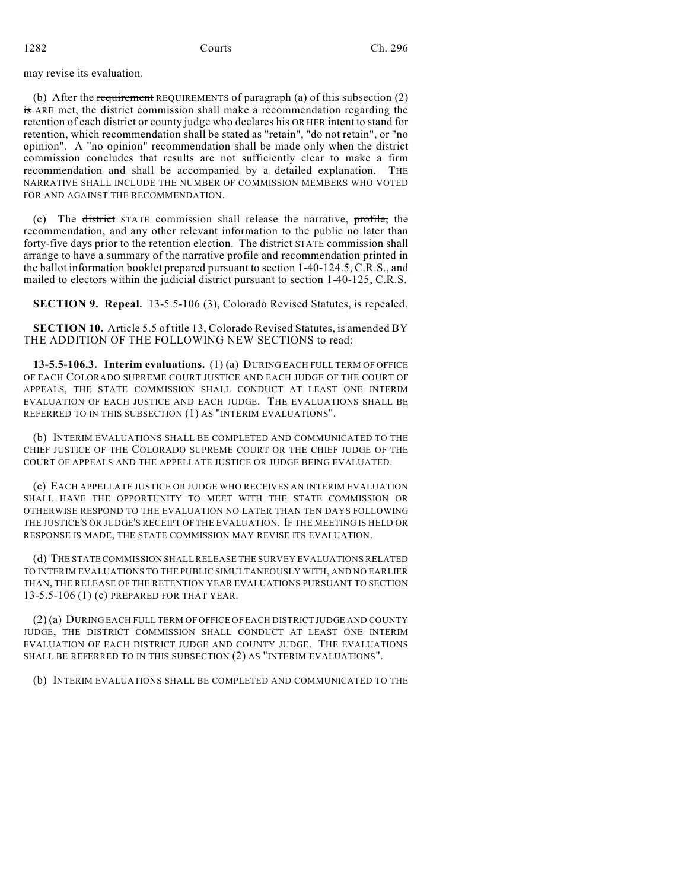may revise its evaluation.

(b) After the requirement REQUIREMENTS of paragraph (a) of this subsection (2) is ARE met, the district commission shall make a recommendation regarding the retention of each district or county judge who declares his OR HER intent to stand for retention, which recommendation shall be stated as "retain", "do not retain", or "no opinion". A "no opinion" recommendation shall be made only when the district commission concludes that results are not sufficiently clear to make a firm recommendation and shall be accompanied by a detailed explanation. THE NARRATIVE SHALL INCLUDE THE NUMBER OF COMMISSION MEMBERS WHO VOTED FOR AND AGAINST THE RECOMMENDATION.

(c) The district STATE commission shall release the narrative,  $\frac{\text{profile}}{\text{profile}}$ , the recommendation, and any other relevant information to the public no later than forty-five days prior to the retention election. The district STATE commission shall arrange to have a summary of the narrative profile and recommendation printed in the ballot information booklet prepared pursuant to section 1-40-124.5, C.R.S., and mailed to electors within the judicial district pursuant to section 1-40-125, C.R.S.

**SECTION 9. Repeal.** 13-5.5-106 (3), Colorado Revised Statutes, is repealed.

**SECTION 10.** Article 5.5 of title 13, Colorado Revised Statutes, is amended BY THE ADDITION OF THE FOLLOWING NEW SECTIONS to read:

**13-5.5-106.3. Interim evaluations.** (1) (a) DURING EACH FULL TERM OF OFFICE OF EACH COLORADO SUPREME COURT JUSTICE AND EACH JUDGE OF THE COURT OF APPEALS, THE STATE COMMISSION SHALL CONDUCT AT LEAST ONE INTERIM EVALUATION OF EACH JUSTICE AND EACH JUDGE. THE EVALUATIONS SHALL BE REFERRED TO IN THIS SUBSECTION (1) AS "INTERIM EVALUATIONS".

(b) INTERIM EVALUATIONS SHALL BE COMPLETED AND COMMUNICATED TO THE CHIEF JUSTICE OF THE COLORADO SUPREME COURT OR THE CHIEF JUDGE OF THE COURT OF APPEALS AND THE APPELLATE JUSTICE OR JUDGE BEING EVALUATED.

(c) EACH APPELLATE JUSTICE OR JUDGE WHO RECEIVES AN INTERIM EVALUATION SHALL HAVE THE OPPORTUNITY TO MEET WITH THE STATE COMMISSION OR OTHERWISE RESPOND TO THE EVALUATION NO LATER THAN TEN DAYS FOLLOWING THE JUSTICE'S OR JUDGE'S RECEIPT OF THE EVALUATION. IF THE MEETING IS HELD OR RESPONSE IS MADE, THE STATE COMMISSION MAY REVISE ITS EVALUATION.

(d) THE STATE COMMISSION SHALL RELEASE THE SURVEY EVALUATIONS RELATED TO INTERIM EVALUATIONS TO THE PUBLIC SIMULTANEOUSLY WITH, AND NO EARLIER THAN, THE RELEASE OF THE RETENTION YEAR EVALUATIONS PURSUANT TO SECTION 13-5.5-106 (1) (c) PREPARED FOR THAT YEAR.

(2) (a) DURING EACH FULL TERM OF OFFICE OFEACH DISTRICT JUDGE AND COUNTY JUDGE, THE DISTRICT COMMISSION SHALL CONDUCT AT LEAST ONE INTERIM EVALUATION OF EACH DISTRICT JUDGE AND COUNTY JUDGE. THE EVALUATIONS SHALL BE REFERRED TO IN THIS SUBSECTION (2) AS "INTERIM EVALUATIONS".

(b) INTERIM EVALUATIONS SHALL BE COMPLETED AND COMMUNICATED TO THE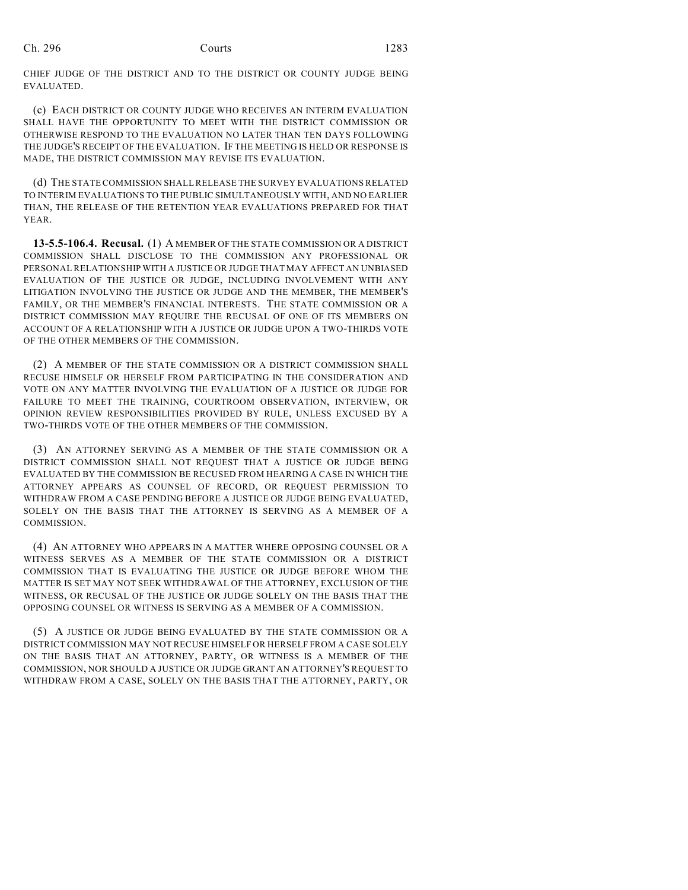CHIEF JUDGE OF THE DISTRICT AND TO THE DISTRICT OR COUNTY JUDGE BEING EVALUATED.

(c) EACH DISTRICT OR COUNTY JUDGE WHO RECEIVES AN INTERIM EVALUATION SHALL HAVE THE OPPORTUNITY TO MEET WITH THE DISTRICT COMMISSION OR OTHERWISE RESPOND TO THE EVALUATION NO LATER THAN TEN DAYS FOLLOWING THE JUDGE'S RECEIPT OF THE EVALUATION. IF THE MEETING IS HELD OR RESPONSE IS MADE, THE DISTRICT COMMISSION MAY REVISE ITS EVALUATION.

(d) THE STATE COMMISSION SHALL RELEASE THE SURVEY EVALUATIONS RELATED TO INTERIM EVALUATIONS TO THE PUBLIC SIMULTANEOUSLY WITH, AND NO EARLIER THAN, THE RELEASE OF THE RETENTION YEAR EVALUATIONS PREPARED FOR THAT YEAR.

**13-5.5-106.4. Recusal.** (1) A MEMBER OF THE STATE COMMISSION OR A DISTRICT COMMISSION SHALL DISCLOSE TO THE COMMISSION ANY PROFESSIONAL OR PERSONAL RELATIONSHIP WITH A JUSTICE OR JUDGE THAT MAY AFFECT AN UNBIASED EVALUATION OF THE JUSTICE OR JUDGE, INCLUDING INVOLVEMENT WITH ANY LITIGATION INVOLVING THE JUSTICE OR JUDGE AND THE MEMBER, THE MEMBER'S FAMILY, OR THE MEMBER'S FINANCIAL INTERESTS. THE STATE COMMISSION OR A DISTRICT COMMISSION MAY REQUIRE THE RECUSAL OF ONE OF ITS MEMBERS ON ACCOUNT OF A RELATIONSHIP WITH A JUSTICE OR JUDGE UPON A TWO-THIRDS VOTE OF THE OTHER MEMBERS OF THE COMMISSION.

(2) A MEMBER OF THE STATE COMMISSION OR A DISTRICT COMMISSION SHALL RECUSE HIMSELF OR HERSELF FROM PARTICIPATING IN THE CONSIDERATION AND VOTE ON ANY MATTER INVOLVING THE EVALUATION OF A JUSTICE OR JUDGE FOR FAILURE TO MEET THE TRAINING, COURTROOM OBSERVATION, INTERVIEW, OR OPINION REVIEW RESPONSIBILITIES PROVIDED BY RULE, UNLESS EXCUSED BY A TWO-THIRDS VOTE OF THE OTHER MEMBERS OF THE COMMISSION.

(3) AN ATTORNEY SERVING AS A MEMBER OF THE STATE COMMISSION OR A DISTRICT COMMISSION SHALL NOT REQUEST THAT A JUSTICE OR JUDGE BEING EVALUATED BY THE COMMISSION BE RECUSED FROM HEARING A CASE IN WHICH THE ATTORNEY APPEARS AS COUNSEL OF RECORD, OR REQUEST PERMISSION TO WITHDRAW FROM A CASE PENDING BEFORE A JUSTICE OR JUDGE BEING EVALUATED, SOLELY ON THE BASIS THAT THE ATTORNEY IS SERVING AS A MEMBER OF A COMMISSION.

(4) AN ATTORNEY WHO APPEARS IN A MATTER WHERE OPPOSING COUNSEL OR A WITNESS SERVES AS A MEMBER OF THE STATE COMMISSION OR A DISTRICT COMMISSION THAT IS EVALUATING THE JUSTICE OR JUDGE BEFORE WHOM THE MATTER IS SET MAY NOT SEEK WITHDRAWAL OF THE ATTORNEY, EXCLUSION OF THE WITNESS, OR RECUSAL OF THE JUSTICE OR JUDGE SOLELY ON THE BASIS THAT THE OPPOSING COUNSEL OR WITNESS IS SERVING AS A MEMBER OF A COMMISSION.

(5) A JUSTICE OR JUDGE BEING EVALUATED BY THE STATE COMMISSION OR A DISTRICT COMMISSION MAY NOT RECUSE HIMSELF OR HERSELF FROM A CASE SOLELY ON THE BASIS THAT AN ATTORNEY, PARTY, OR WITNESS IS A MEMBER OF THE COMMISSION, NOR SHOULD A JUSTICE OR JUDGE GRANT AN ATTORNEY'S REQUEST TO WITHDRAW FROM A CASE, SOLELY ON THE BASIS THAT THE ATTORNEY, PARTY, OR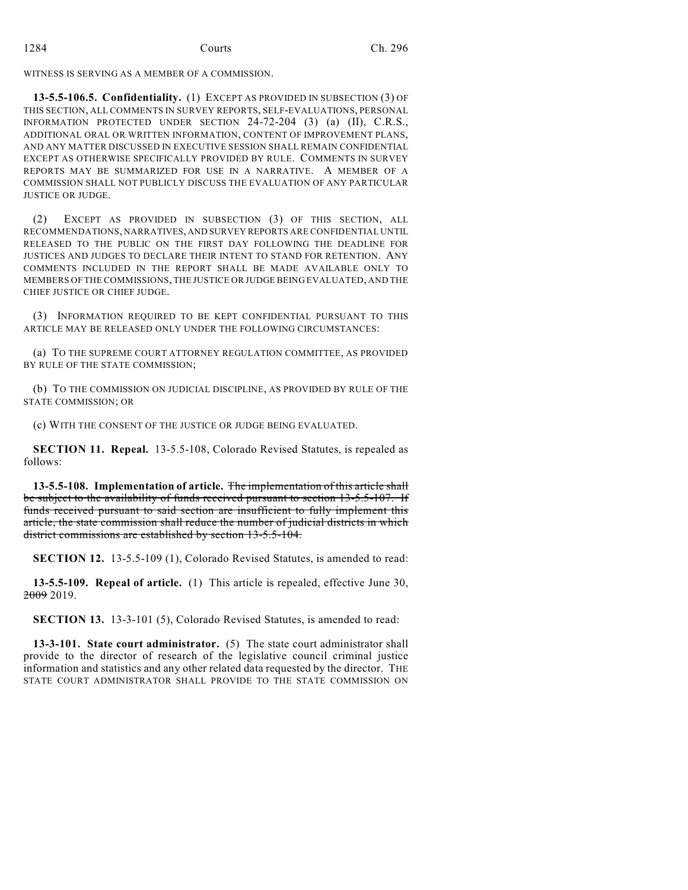WITNESS IS SERVING AS A MEMBER OF A COMMISSION.

**13-5.5-106.5. Confidentiality.** (1) EXCEPT AS PROVIDED IN SUBSECTION (3) OF THIS SECTION, ALL COMMENTS IN SURVEY REPORTS, SELF-EVALUATIONS, PERSONAL INFORMATION PROTECTED UNDER SECTION 24-72-204 (3) (a) (II), C.R.S., ADDITIONAL ORAL OR WRITTEN INFORMATION, CONTENT OF IMPROVEMENT PLANS, AND ANY MATTER DISCUSSED IN EXECUTIVE SESSION SHALL REMAIN CONFIDENTIAL EXCEPT AS OTHERWISE SPECIFICALLY PROVIDED BY RULE. COMMENTS IN SURVEY REPORTS MAY BE SUMMARIZED FOR USE IN A NARRATIVE. A MEMBER OF A COMMISSION SHALL NOT PUBLICLY DISCUSS THE EVALUATION OF ANY PARTICULAR JUSTICE OR JUDGE.

(2) EXCEPT AS PROVIDED IN SUBSECTION (3) OF THIS SECTION, ALL RECOMMENDATIONS, NARRATIVES, AND SURVEY REPORTS ARE CONFIDENTIAL UNTIL RELEASED TO THE PUBLIC ON THE FIRST DAY FOLLOWING THE DEADLINE FOR JUSTICES AND JUDGES TO DECLARE THEIR INTENT TO STAND FOR RETENTION. ANY COMMENTS INCLUDED IN THE REPORT SHALL BE MADE AVAILABLE ONLY TO MEMBERS OF THE COMMISSIONS, THE JUSTICE OR JUDGE BEING EVALUATED, AND THE CHIEF JUSTICE OR CHIEF JUDGE.

(3) INFORMATION REQUIRED TO BE KEPT CONFIDENTIAL PURSUANT TO THIS ARTICLE MAY BE RELEASED ONLY UNDER THE FOLLOWING CIRCUMSTANCES:

(a) TO THE SUPREME COURT ATTORNEY REGULATION COMMITTEE, AS PROVIDED BY RULE OF THE STATE COMMISSION;

(b) TO THE COMMISSION ON JUDICIAL DISCIPLINE, AS PROVIDED BY RULE OF THE STATE COMMISSION; OR

(c) WITH THE CONSENT OF THE JUSTICE OR JUDGE BEING EVALUATED.

**SECTION 11. Repeal.** 13-5.5-108, Colorado Revised Statutes, is repealed as follows:

**13-5.5-108. Implementation of article.** The implementation of this article shall be subject to the availability of funds received pursuant to section 13-5.5-107. If funds received pursuant to said section are insufficient to fully implement this article, the state commission shall reduce the number of judicial districts in which district commissions are established by section 13-5.5-104.

**SECTION 12.** 13-5.5-109 (1), Colorado Revised Statutes, is amended to read:

**13-5.5-109. Repeal of article.** (1) This article is repealed, effective June 30, 2009 2019.

**SECTION 13.** 13-3-101 (5), Colorado Revised Statutes, is amended to read:

**13-3-101. State court administrator.** (5) The state court administrator shall provide to the director of research of the legislative council criminal justice information and statistics and any other related data requested by the director. THE STATE COURT ADMINISTRATOR SHALL PROVIDE TO THE STATE COMMISSION ON